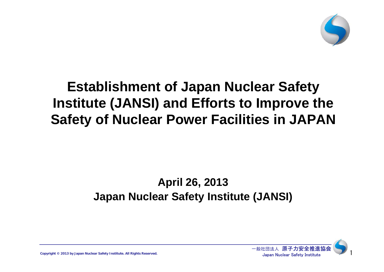

# **Establishment of Japan Nuclear Safety Institute (JANSI) and Efforts to Improve the Safety of Nuclear Power Facilities in JAPAN**

## **April 26, 2013 Japan Nuclear Safety Institute (JANSI)**



**Copyright ©** 2013 by Japan Nuclear Safety Institute. All Rights Reserved. **1998 1999 1999 1999 1999 1999 1999 1999 1999 1999 1999 1999 1999 1999 1999 1999 1999 1999 1999 1999 1999**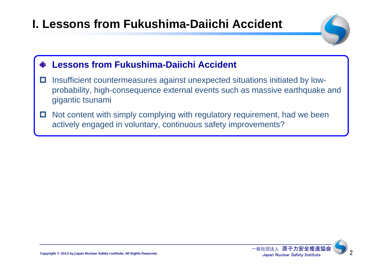# **I. Lessons from Fukushima-Daiichi Accident**



#### **Lessons from Fukushima-Daiichi Accident**

- о Insufficient countermeasures against unexpected situations initiated by lowprobability, high-consequence external events such as massive earthquake and gigantic tsunami
- $\Box$  Not content with simply complying with regulatory requirement, had we been actively engaged in voluntary, continuous safety improvements?

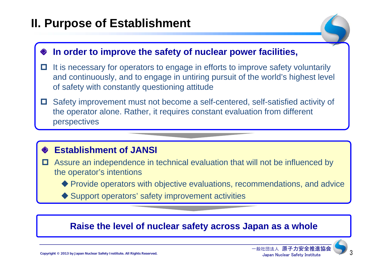## **II. Purpose of Establishment**

#### **In order to improve the safety of nuclear power facilities,**

- $\Box$  It is necessary for operators to engage in efforts to improve safety voluntarily and continuously, and to engage in untiring pursuit of the world's highest level of safety with constantly questioning attitude
- O Safety improvement must not become a self-centered, self-satisfied activity of the operator alone. Rather, it requires constant evaluation from different perspectives

#### **Establishment of JANSI**

- O Assure an independence in technical evaluation that will not be influenced by the operator's intentions
	- Provide operators with objective evaluations, recommendations, and advice
	- ◆ Support operators' safety improvement activities

#### **Raise the level of nuclear safety across Japan as a whole**

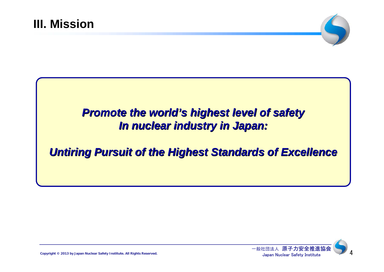

## **Promote the world's highest level of safety** *In nuclear industry in Japan: In nuclear industry in Japan:*

## *Untiring Pursuit of the Highest Standards of Excellence Untiring Pursuit of the Highest Standards of Excellence*

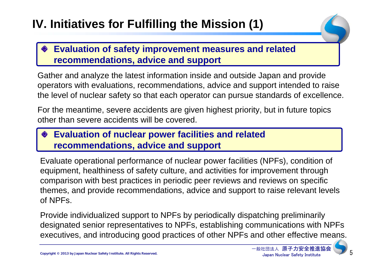# **IV. Initiatives for Fulfilling the Mission (1)**

#### **Evaluation of safety improvement measures and related recommendations, advice and support**

Gather and analyze the latest information inside and outside Japan and provide operators with evaluations, recommendations, advice and support intended to raise the level of nuclear safety so that each operator can pursue standards of excellence.

For the meantime, severe accidents are given highest priority, but in future topics other than severe accidents will be covered.

#### **Evaluation of nuclear power facilities and related recommendations, advice and support**

Evaluate operational performance of nuclear power facilities (NPFs), condition of equipment, healthiness of safety culture, and activities for improvement through comparison with best practices in periodic peer reviews and reviews on specific themes, and provide recommendations, advice and support to raise relevant levels of NPFs.

Provide individualized support to NPFs by periodically dispatching preliminarily designated senior representatives to NPFs, establishing communications with NPFs executives, and introducing good practices of other NPFs and other effective means.

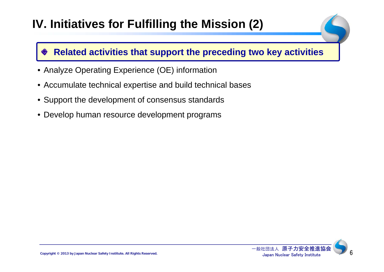# **IV. Initiatives for Fulfilling the Mission (2)**

#### **Related activities that support the preceding two key activities**

- Analyze Operating Experience (OE) information
- Accumulate technical expertise and build technical bases
- Support the development of consensus standards
- Develop human resource development programs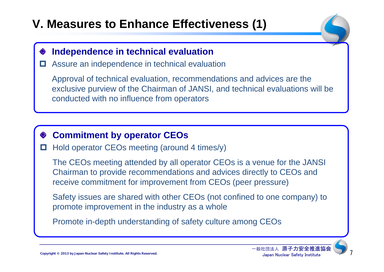# **V. Measures to Enhance Effectiveness (1)**

#### **Independence in technical evaluation**

 $\Box$ Assure an independence in technical evaluation

Approval of technical evaluation, recommendations and advices are the exclusive purview of the Chairman of JANSI, and technical evaluations will be conducted with no influence from operators

#### **Commitment by operator CEOs**

о Hold operator CEOs meeting (around 4 times/y)

The CEOs meeting attended by all operator CEOs is a venue for the JANSI Chairman to provide recommendations and advices directly to CEOs and receive commitment for improvement from CEOs (peer pressure)

Safety issues are shared with other CEOs (not confined to one company) to promote improvement in the industry as a whole

Promote in-depth understanding of safety culture among CEOs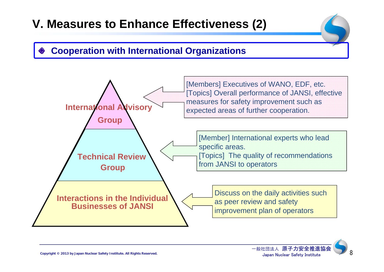# **V. Measures to Enhance Effectiveness (2)**

#### **Cooperation with International Organizations**



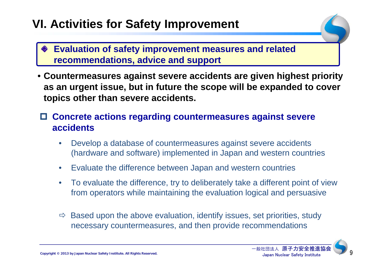## **VI. Activities for Safety Improvement**

- **Evaluation of safety improvement measures and related recommendations, advice and support**
- **Countermeasures against severe accidents are given highest priority as an urgent issue, but in future the scope will be expanded to cover topics other than severe accidents.**
- **Concrete actions regarding countermeasures against severe accidents**
	- • Develop a database of countermeasures against severe accidents (hardware and software) implemented in Japan and western countries
	- $\bullet$ Evaluate the difference between Japan and western countries
	- $\bullet$  To evaluate the difference, try to deliberately take a different point of view from operators while maintaining the evaluation logical and persuasive
	- $\Rightarrow$  Based upon the above evaluation, identify issues, set priorities, study necessary countermeasures, and then provide recommendations

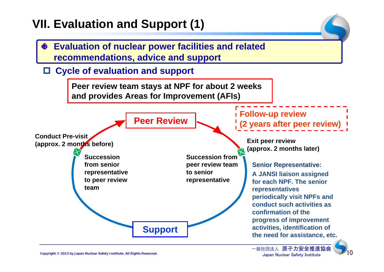## **VII. Evaluation and Support (1)**



Copyright © 2013 by Japan Nuclear Safety Institute. All Rights Reserved.<br>Copyright © 2013 by Japan Nuclear Safety Institute. All Rights Reserved. **Japan Nuclear Safety Institute** 

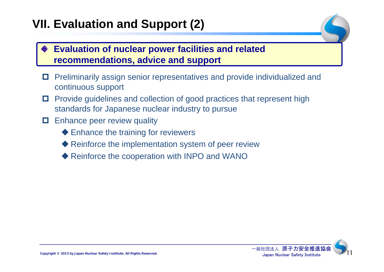## **VII. Evaluation and Support (2)**

## **Evaluation of nuclear power facilities and related recommendations, advice and support**

- о Preliminarily assign senior representatives and provide individualized and continuous support
- $\Box$  Provide guidelines and collection of good practices that represent high standards for Japanese nuclear industry to pursue
- О. Enhance peer review quality
	- ◆ Enhance the training for reviewers
	- ◆ Reinforce the implementation system of peer review
	- ◆ Reinforce the cooperation with INPO and WANO

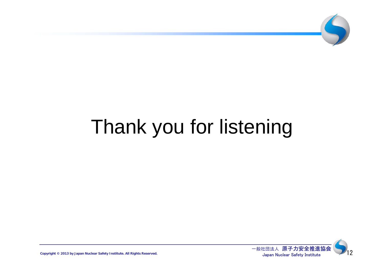

# Thank you for listening